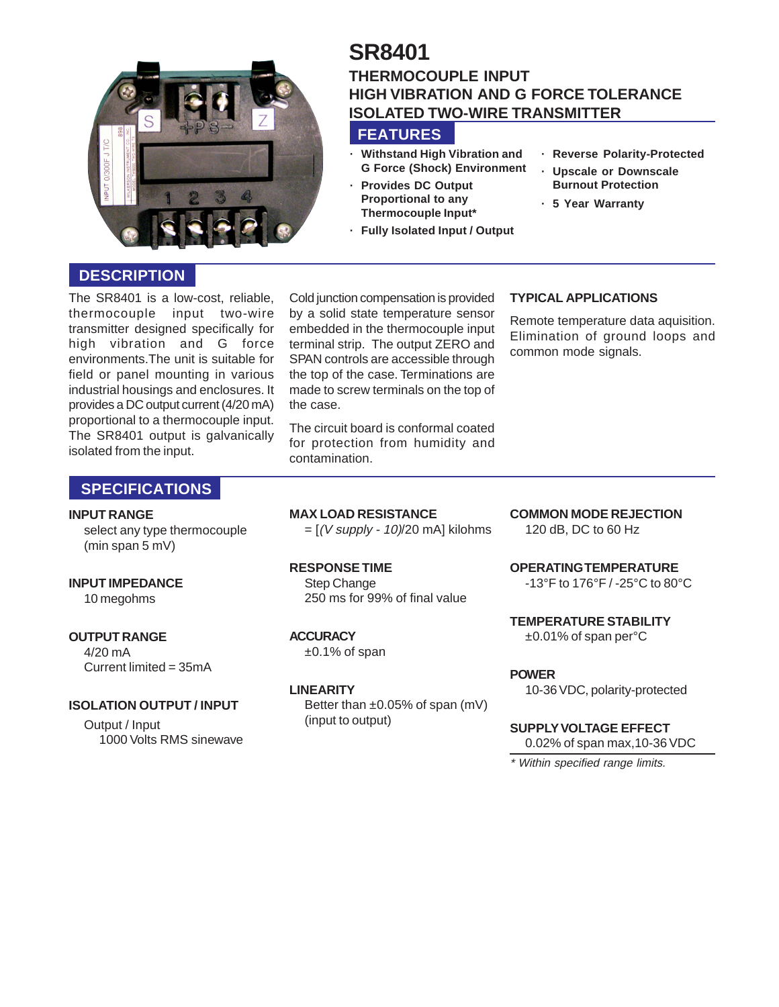

# **SR8401 THERMOCOUPLE INPUT HIGH VIBRATION AND G FORCE TOLERANCE ISOLATED TWO-WIRE TRANSMITTER**

# **FEATURES**

- **· Withstand High Vibration and G Force (Shock) Environment**
- **· Provides DC Output Proportional to any Thermocouple Input\***
	- **· Fully Isolated Input / Output**
- **· Reverse Polarity-Protected**
- **· Upscale or Downscale Burnout Protection**
- **· 5 Year Warranty**

## **DESCRIPTION**

The SR8401 is a low-cost, reliable, thermocouple input two-wire transmitter designed specifically for high vibration and G force environments.The unit is suitable for field or panel mounting in various industrial housings and enclosures. It provides a DC output current (4/20 mA) proportional to a thermocouple input. The SR8401 output is galvanically isolated from the input.

Cold junction compensation is provided by a solid state temperature sensor embedded in the thermocouple input terminal strip. The output ZERO and SPAN controls are accessible through the top of the case. Terminations are made to screw terminals on the top of the case.

The circuit board is conformal coated for protection from humidity and contamination.

## **TYPICAL APPLICATIONS**

Remote temperature data aquisition. Elimination of ground loops and common mode signals.

## **SPECIFICATIONS**

#### **INPUT RANGE**

select any type thermocouple (min span 5 mV)

### **INPUT IMPEDANCE**

10 megohms

### **OUTPUT RANGE**

4/20 mA Current limited = 35mA

#### **ISOLATION OUTPUT / INPUT**

Output / Input 1000 Volts RMS sinewave **MAX LOAD RESISTANCE**  $=[(V \text{ supply} - 10)/20 \text{ mA}]$  kilohms

**RESPONSE TIME** Step Change 250 ms for 99% of final value

**ACCURACY**

 $±0.1\%$  of span

### **LINEARITY**

Better than ±0.05% of span (mV) (input to output)

**COMMON MODE REJECTION** 120 dB, DC to 60 Hz

**OPERATING TEMPERATURE** -13°F to 176°F / -25°C to 80°C

**TEMPERATURE STABILITY** ±0.01% of span per°C

**POWER**

10-36 VDC, polarity-protected

## **SUPPLY VOLTAGE EFFECT**

0.02% of span max,10-36 VDC

\* Within specified range limits.